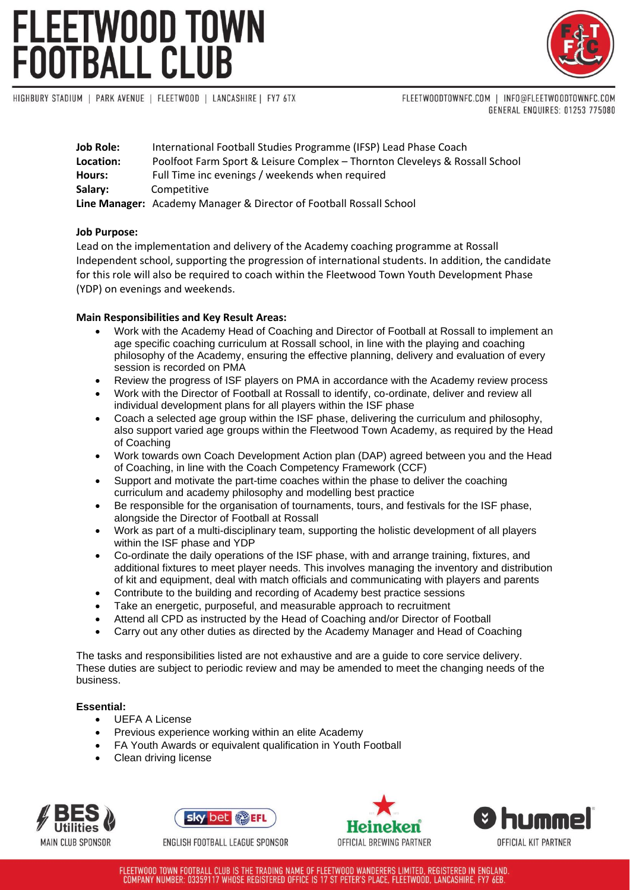## **FLEETWOOD TOWN FOOTBALL CLUB**



HIGHBURY STADIUM | PARK AVENUE | FLEETWOOD | LANCASHIRE | FY7 6TX

FLEETWOODTOWNFC.COM | INFO@FLEETWOODTOWNFC.COM GENERAL ENQUIRES: 01253 775080

| <b>Job Role:</b> | International Football Studies Programme (IFSP) Lead Phase Coach            |
|------------------|-----------------------------------------------------------------------------|
| Location:        | Poolfoot Farm Sport & Leisure Complex - Thornton Cleveleys & Rossall School |
| Hours:           | Full Time inc evenings / weekends when required                             |
| Salary:          | Competitive                                                                 |
|                  | Line Manager: Academy Manager & Director of Football Rossall School         |

### **Job Purpose:**

Lead on the implementation and delivery of the Academy coaching programme at Rossall Independent school, supporting the progression of international students. In addition, the candidate for this role will also be required to coach within the Fleetwood Town Youth Development Phase (YDP) on evenings and weekends.

### **Main Responsibilities and Key Result Areas:**

- Work with the Academy Head of Coaching and Director of Football at Rossall to implement an age specific coaching curriculum at Rossall school, in line with the playing and coaching philosophy of the Academy, ensuring the effective planning, delivery and evaluation of every session is recorded on PMA
- Review the progress of ISF players on PMA in accordance with the Academy review process
- Work with the Director of Football at Rossall to identify, co-ordinate, deliver and review all individual development plans for all players within the ISF phase
- Coach a selected age group within the ISF phase, delivering the curriculum and philosophy, also support varied age groups within the Fleetwood Town Academy, as required by the Head of Coaching
- Work towards own Coach Development Action plan (DAP) agreed between you and the Head of Coaching, in line with the Coach Competency Framework (CCF)
- Support and motivate the part-time coaches within the phase to deliver the coaching curriculum and academy philosophy and modelling best practice
- Be responsible for the organisation of tournaments, tours, and festivals for the ISF phase, alongside the Director of Football at Rossall
- Work as part of a multi-disciplinary team, supporting the holistic development of all players within the ISF phase and YDP
- Co-ordinate the daily operations of the ISF phase, with and arrange training, fixtures, and additional fixtures to meet player needs. This involves managing the inventory and distribution of kit and equipment, deal with match officials and communicating with players and parents
- Contribute to the building and recording of Academy best practice sessions
- Take an energetic, purposeful, and measurable approach to recruitment
- Attend all CPD as instructed by the Head of Coaching and/or Director of Football
- Carry out any other duties as directed by the Academy Manager and Head of Coaching

The tasks and responsibilities listed are not exhaustive and are a guide to core service delivery. These duties are subject to periodic review and may be amended to meet the changing needs of the business.

### **Essential:**

- UEFA A License
- Previous experience working within an elite Academy
- FA Youth Awards or equivalent qualification in Youth Football
- Clean driving license





ENGLISH FOOTBALL LEAGUE SPONSOR